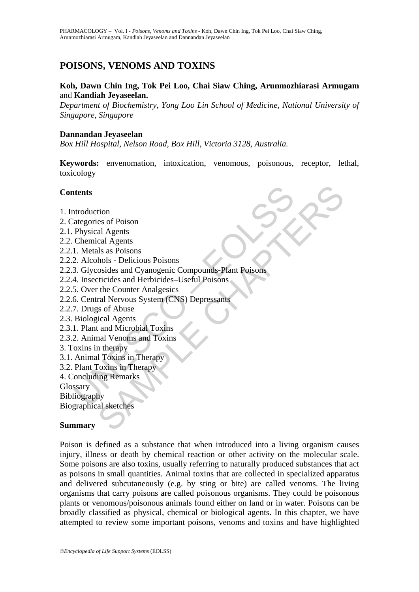# **POISONS, VENOMS AND TOXINS**

### **Koh, Dawn Chin Ing, Tok Pei Loo, Chai Siaw Ching, Arunmozhiarasi Armugam**  and **Kandiah Jeyaseelan.**

*Department of Biochemistry, Yong Loo Lin School of Medicine, National University of Singapore, Singapore* 

### **Dannandan Jeyaseelan**

*Box Hill Hospital, Nelson Road, Box Hill, Victoria 3128, Australia.* 

**Keywords:** envenomation, intoxication, venomous, poisonous, receptor, lethal, toxicology

### **Contents**

- 1. Introduction
- 2. Categories of Poison
- 2.1. Physical Agents
- 2.2. Chemical Agents
- 2.2.1. Metals as Poisons
- 2.2.2. Alcohols Delicious Poisons
- **Example 18**<br>
Instractions<br>
Instractions<br>
Physical Agents<br>
Chemical Agents<br>
1. Metals as Poisons<br>
2. Alcohols Delicious Poisons<br>
3. Glycosides and Cyanogenic Compounds-Plant Poisons<br>
4. Insecticides and Herbicides-Useful tion<br>
es of Poison<br>
al Agents<br>
cal Agents<br>
cal Agents<br>
cal Agents<br>
bloss - Delicious Poisons<br>
coides and Cyanogenic Compounds-Plant Poisons<br>
cincides and Herbicides-Useful Poisons<br>
ral Nervous System (CNS) Depressants<br>
is 2.2.3. Glycosides and Cyanogenic Compounds-Plant Poisons
- 2.2.4. Insecticides and Herbicides–Useful Poisons
- 2.2.5. Over the Counter Analgesics
- 2.2.6. Central Nervous System (CNS) Depressants
- 2.2.7. Drugs of Abuse
- 2.3. Biological Agents
- 2.3.1. Plant and Microbial Toxins
- 2.3.2. Animal Venoms and Toxins
- 3. Toxins in therapy
- 3.1. Animal Toxins in Therapy
- 3.2. Plant Toxins in Therapy
- 4. Concluding Remarks

Glossary

Bibliography

Biographical sketches

#### **Summary**

Poison is defined as a substance that when introduced into a living organism causes injury, illness or death by chemical reaction or other activity on the molecular scale. Some poisons are also toxins, usually referring to naturally produced substances that act as poisons in small quantities. Animal toxins that are collected in specialized apparatus and delivered subcutaneously (e.g. by sting or bite) are called venoms. The living organisms that carry poisons are called poisonous organisms. They could be poisonous plants or venomous/poisonous animals found either on land or in water. Poisons can be broadly classified as physical, chemical or biological agents. In this chapter, we have attempted to review some important poisons, venoms and toxins and have highlighted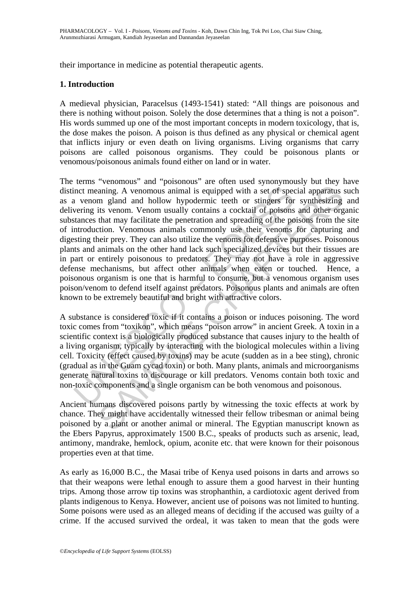their importance in medicine as potential therapeutic agents.

### **1. Introduction**

A medieval physician, Paracelsus (1493-1541) stated: "All things are poisonous and there is nothing without poison. Solely the dose determines that a thing is not a poison". His words summed up one of the most important concepts in modern toxicology, that is, the dose makes the poison. A poison is thus defined as any physical or chemical agent that inflicts injury or even death on living organisms. Living organisms that carry poisons are called poisonous organisms. They could be poisonous plants or venomous/poisonous animals found either on land or in water.

inct meaning. A venomous animal is equipped with a set of specal venom gland and hollow hypodermic teeth or stingers for vering its venom. Venom usually contains a cocktail of poisons tances that may facilitate the penetra aning. A venomous animal is equipped with a set of special apparatus maning. A venomous animal is equipped with a set of special apparatus m gland and hollow hypodermic teeth or stingers for synthesizing its venom. Venom u The terms "venomous" and "poisonous" are often used synonymously but they have distinct meaning. A venomous animal is equipped with a set of special apparatus such as a venom gland and hollow hypodermic teeth or stingers for synthesizing and delivering its venom. Venom usually contains a cocktail of poisons and other organic substances that may facilitate the penetration and spreading of the poisons from the site of introduction. Venomous animals commonly use their venoms for capturing and digesting their prey. They can also utilize the venoms for defensive purposes. Poisonous plants and animals on the other hand lack such specialized devices but their tissues are in part or entirely poisonous to predators. They may not have a role in aggressive defense mechanisms, but affect other animals when eaten or touched. Hence, a poisonous organism is one that is harmful to consume, but a venomous organism uses poison/venom to defend itself against predators. Poisonous plants and animals are often known to be extremely beautiful and bright with attractive colors.

A substance is considered toxic if it contains a poison or induces poisoning. The word toxic comes from "toxikon", which means "poison arrow" in ancient Greek. A toxin in a scientific context is a biologically produced substance that causes injury to the health of a living organism, typically by interacting with the biological molecules within a living cell. Toxicity (effect caused by toxins) may be acute (sudden as in a bee sting), chronic (gradual as in the Guam cycad toxin) or both. Many plants, animals and microorganisms generate natural toxins to discourage or kill predators. Venoms contain both toxic and non-toxic components and a single organism can be both venomous and poisonous.

Ancient humans discovered poisons partly by witnessing the toxic effects at work by chance. They might have accidentally witnessed their fellow tribesman or animal being poisoned by a plant or another animal or mineral. The Egyptian manuscript known as the Ebers Papyrus, approximately 1500 B.C., speaks of products such as arsenic, lead, antimony, mandrake, hemlock, opium, aconite etc. that were known for their poisonous properties even at that time.

As early as 16,000 B.C., the Masai tribe of Kenya used poisons in darts and arrows so that their weapons were lethal enough to assure them a good harvest in their hunting trips. Among those arrow tip toxins was strophanthin, a cardiotoxic agent derived from plants indigenous to Kenya. However, ancient use of poisons was not limited to hunting. Some poisons were used as an alleged means of deciding if the accused was guilty of a crime. If the accused survived the ordeal, it was taken to mean that the gods were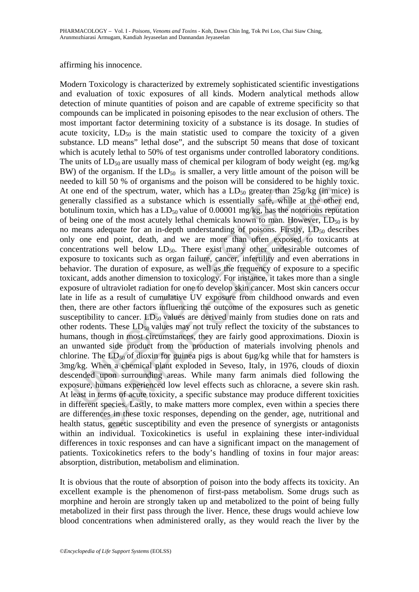#### affirming his innocence.

one end of the spectrum, water, which has a LD<sub>50</sub> greater than 2<br>prally classified as a substance which is essentially safe, while<br>linum toxin, which has a LD<sub>50</sub> value of 0.00001 mg/kg, has the n<br>eing one of the most ac In of the spectrum, water, which has a LD<sub>50</sub> greater than 25g/kg (in micclassified as a substance which has a LD<sub>50</sub> greater than 25g/kg (in micclassified as a substance which is essentially safe, while at the other toxi Modern Toxicology is characterized by extremely sophisticated scientific investigations and evaluation of toxic exposures of all kinds. Modern analytical methods allow detection of minute quantities of poison and are capable of extreme specificity so that compounds can be implicated in poisoning episodes to the near exclusion of others. The most important factor determining toxicity of a substance is its dosage. In studies of acute toxicity,  $LD_{50}$  is the main statistic used to compare the toxicity of a given substance. LD means" lethal dose", and the subscript 50 means that dose of toxicant which is acutely lethal to 50% of test organisms under controlled laboratory conditions. The units of  $LD_{50}$  are usually mass of chemical per kilogram of body weight (eg. mg/kg) BW) of the organism. If the  $LD_{50}$  is smaller, a very little amount of the poison will be needed to kill 50 % of organisms and the poison will be considered to be highly toxic. At one end of the spectrum, water, which has a  $LD_{50}$  greater than  $25g/kg$  (in mice) is generally classified as a substance which is essentially safe, while at the other end, botulinum toxin, which has a  $LD_{50}$  value of 0.00001 mg/kg, has the notorious reputation of being one of the most acutely lethal chemicals known to man. However,  $LD_{50}$  is by no means adequate for an in-depth understanding of poisons. Firstly,  $LD_{50}$  describes only one end point, death, and we are more than often exposed to toxicants at concentrations well below  $LD_{50}$ . There exist many other undesirable outcomes of exposure to toxicants such as organ failure, cancer, infertility and even aberrations in behavior. The duration of exposure, as well as the frequency of exposure to a specific toxicant, adds another dimension to toxicology. For instance, it takes more than a single exposure of ultraviolet radiation for one to develop skin cancer. Most skin cancers occur late in life as a result of cumulative UV exposure from childhood onwards and even then, there are other factors influencing the outcome of the exposures such as genetic susceptibility to cancer.  $LD_{50}$  values are derived mainly from studies done on rats and other rodents. These  $LD_{50}$  values may not truly reflect the toxicity of the substances to humans, though in most circumstances, they are fairly good approximations. Dioxin is an unwanted side product from the production of materials involving phenols and chlorine. The  $LD_{50}$  of dioxin for guinea pigs is about 6µg/kg while that for hamsters is 3mg/kg. When a chemical plant exploded in Seveso, Italy, in 1976, clouds of dioxin descended upon surrounding areas. While many farm animals died following the exposure, humans experienced low level effects such as chloracne, a severe skin rash. At least in terms of acute toxicity, a specific substance may produce different toxicities in different species. Lastly, to make matters more complex, even within a species there are differences in these toxic responses, depending on the gender, age, nutritional and health status, genetic susceptibility and even the presence of synergists or antagonists within an individual. Toxicokinetics is useful in explaining these inter-individual differences in toxic responses and can have a significant impact on the management of patients. Toxicokinetics refers to the body's handling of toxins in four major areas: absorption, distribution, metabolism and elimination.

It is obvious that the route of absorption of poison into the body affects its toxicity. An excellent example is the phenomenon of first-pass metabolism. Some drugs such as morphine and heroin are strongly taken up and metabolized to the point of being fully metabolized in their first pass through the liver. Hence, these drugs would achieve low blood concentrations when administered orally, as they would reach the liver by the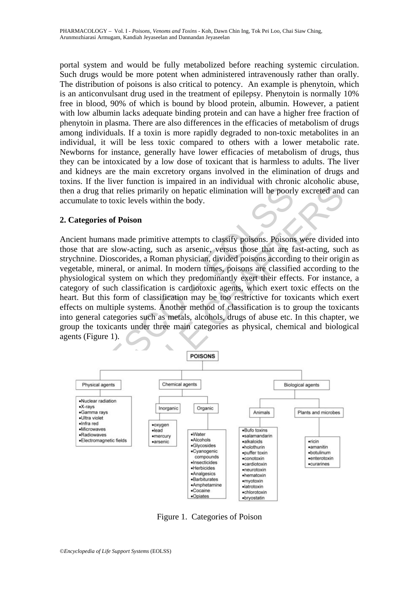portal system and would be fully metabolized before reaching systemic circulation. Such drugs would be more potent when administered intravenously rather than orally. The distribution of poisons is also critical to potency. An example is phenytoin, which is an anticonvulsant drug used in the treatment of epilepsy. Phenytoin is normally 10% free in blood, 90% of which is bound by blood protein, albumin. However, a patient with low albumin lacks adequate binding protein and can have a higher free fraction of phenytoin in plasma. There are also differences in the efficacies of metabolism of drugs among individuals. If a toxin is more rapidly degraded to non-toxic metabolites in an individual, it will be less toxic compared to others with a lower metabolic rate. Newborns for instance, generally have lower efficacies of metabolism of drugs, thus they can be intoxicated by a low dose of toxicant that is harmless to adults. The liver and kidneys are the main excretory organs involved in the elimination of drugs and toxins. If the liver function is impaired in an individual with chronic alcoholic abuse, then a drug that relies primarily on hepatic elimination will be poorly excreted and can accumulate to toxic levels within the body.

### **2. Categories of Poison**

The divideo radiation<br>
Physical agents<br>
The physical agents<br>
Channel agents<br>
Channel agents<br>
Channel agents<br>
Channel agents<br>
Channel agents<br>
Channel agents<br>
Channel agents<br>
Channel agents<br>
Channel agents<br>
Channel agents<br>
C The state of the microsofter of the microsofter of the microsofter of the state of the state of Poison<br>
and to toxic levels within the body.<br>
dies of Poison<br>
mans made primitive attempts to classify poisons. Poisons were d Ancient humans made primitive attempts to classify poisons. Poisons were divided into those that are slow-acting, such as arsenic, versus those that are fast-acting, such as strychnine. Dioscorides, a Roman physician, divided poisons according to their origin as vegetable, mineral, or animal. In modern times, poisons are classified according to the physiological system on which they predominantly exert their effects. For instance, a category of such classification is cardiotoxic agents, which exert toxic effects on the heart. But this form of classification may be too restrictive for toxicants which exert effects on multiple systems. Another method of classification is to group the toxicants into general categories such as metals, alcohols, drugs of abuse etc. In this chapter, we group the toxicants under three main categories as physical, chemical and biological agents (Figure 1).



Figure 1. Categories of Poison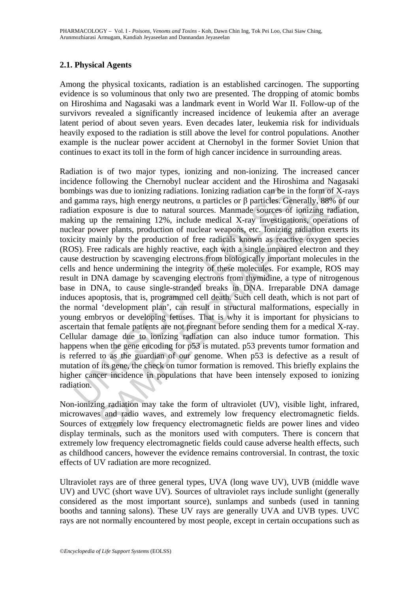## **2.1. Physical Agents**

Among the physical toxicants, radiation is an established carcinogen. The supporting evidence is so voluminous that only two are presented. The dropping of atomic bombs on Hiroshima and Nagasaki was a landmark event in World War II. Follow-up of the survivors revealed a significantly increased incidence of leukemia after an average latent period of about seven years. Even decades later, leukemia risk for individuals heavily exposed to the radiation is still above the level for control populations. Another example is the nuclear power accident at Chernobyl in the former Soviet Union that continues to exact its toll in the form of high cancer incidence in surrounding areas.

blings was due to ionizing radiations. Ionizing radiation can be in gamma rays, high energy neutrons,  $\alpha$  particles or  $\beta$  particles. Ger ation exposure is due to natural sources. Manmade sources of ing up the remaining was due to ionizing radiations. Ionizing radiation can be in the form of X-<br>a rays, high energy neutrons,  $\alpha$  particles or  $\beta$  particles. Generally, 88% of<br>xposure is due to natural sources. Mannade sources of ionizing Radiation is of two major types, ionizing and non-ionizing. The increased cancer incidence following the Chernobyl nuclear accident and the Hiroshima and Nagasaki bombings was due to ionizing radiations. Ionizing radiation can be in the form of X-rays and gamma rays, high energy neutrons, α particles or β particles. Generally, 88% of our radiation exposure is due to natural sources. Manmade sources of ionizing radiation, making up the remaining 12%, include medical X-ray investigations, operations of nuclear power plants, production of nuclear weapons, etc. Ionizing radiation exerts its toxicity mainly by the production of free radicals known as reactive oxygen species (ROS). Free radicals are highly reactive, each with a single unpaired electron and they cause destruction by scavenging electrons from biologically important molecules in the cells and hence undermining the integrity of these molecules. For example, ROS may result in DNA damage by scavenging electrons from thymidine, a type of nitrogenous base in DNA, to cause single-stranded breaks in DNA. Irreparable DNA damage induces apoptosis, that is, programmed cell death. Such cell death, which is not part of the normal 'development plan', can result in structural malformations, especially in young embryos or developing fetuses. That is why it is important for physicians to ascertain that female patients are not pregnant before sending them for a medical X-ray. Cellular damage due to ionizing radiation can also induce tumor formation. This happens when the gene encoding for p53 is mutated. p53 prevents tumor formation and is referred to as the guardian of our genome. When p53 is defective as a result of mutation of its gene, the check on tumor formation is removed. This briefly explains the higher cancer incidence in populations that have been intensely exposed to ionizing radiation.

Non-ionizing radiation may take the form of ultraviolet (UV), visible light, infrared, microwaves and radio waves, and extremely low frequency electromagnetic fields. Sources of extremely low frequency electromagnetic fields are power lines and video display terminals, such as the monitors used with computers. There is concern that extremely low frequency electromagnetic fields could cause adverse health effects, such as childhood cancers, however the evidence remains controversial. In contrast, the toxic effects of UV radiation are more recognized.

Ultraviolet rays are of three general types, UVA (long wave UV), UVB (middle wave UV) and UVC (short wave UV). Sources of ultraviolet rays include sunlight (generally considered as the most important source), sunlamps and sunbeds (used in tanning booths and tanning salons). These UV rays are generally UVA and UVB types. UVC rays are not normally encountered by most people, except in certain occupations such as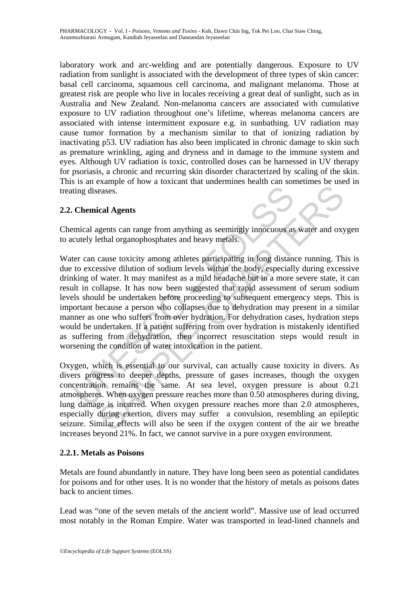laboratory work and arc-welding and are potentially dangerous. Exposure to UV radiation from sunlight is associated with the development of three types of skin cancer: basal cell carcinoma, squamous cell carcinoma, and malignant melanoma. Those at greatest risk are people who live in locales receiving a great deal of sunlight, such as in Australia and New Zealand. Non-melanoma cancers are associated with cumulative exposure to UV radiation throughout one's lifetime, whereas melanoma cancers are associated with intense intermittent exposure e.g. in sunbathing. UV radiation may cause tumor formation by a mechanism similar to that of ionizing radiation by inactivating p53. UV radiation has also been implicated in chronic damage to skin such as premature wrinkling, aging and dryness and in damage to the immune system and eyes. Although UV radiation is toxic, controlled doses can be harnessed in UV therapy for psoriasis, a chronic and recurring skin disorder characterized by scaling of the skin. This is an example of how a toxicant that undermines health can sometimes be used in treating diseases.

## **2.2. Chemical Agents**

Chemical agents can range from anything as seemingly innocuous as water and oxygen to acutely lethal organophosphates and heavy metals.

ting diseases.<br>
Chemical Agents<br>
mical agents can range from anything as seemingly innocuous as<br>
mical agents can range from anything as seemingly innocuous as<br>
ter can cause toxicity among athletes participating in long d eases.<br>
ical Agents<br>
eases.<br>
ical Agents<br>
ical Agents<br>
seases.<br>
ical Agents<br>
cause toxicity among athletes participating in long distance running. The<br>
seasive dilution of sodium levels within the body, especially during e Water can cause toxicity among athletes participating in long distance running. This is due to excessive dilution of sodium levels within the body, especially during excessive drinking of water. It may manifest as a mild headache but in a more severe state, it can result in collapse. It has now been suggested that rapid assessment of serum sodium levels should be undertaken before proceeding to subsequent emergency steps. This is important because a person who collapses due to dehydration may present in a similar manner as one who suffers from over hydration. For dehydration cases, hydration steps would be undertaken. If a patient suffering from over hydration is mistakenly identified as suffering from dehydration, then incorrect resuscitation steps would result in worsening the condition of water intoxication in the patient.

Oxygen, which is essential to our survival, can actually cause toxicity in divers. As divers progress to deeper depths, pressure of gases increases, though the oxygen concentration remains the same. At sea level, oxygen pressure is about 0.21 atmospheres. When oxygen pressure reaches more than 0.50 atmospheres during diving, lung damage is incurred. When oxygen pressure reaches more than 2.0 atmospheres, especially during exertion, divers may suffer a convulsion, resembling an epileptic seizure. Similar effects will also be seen if the oxygen content of the air we breathe increases beyond 21%. In fact, we cannot survive in a pure oxygen environment.

## **2.2.1. Metals as Poisons**

Metals are found abundantly in nature. They have long been seen as potential candidates for poisons and for other uses. It is no wonder that the history of metals as poisons dates back to ancient times.

Lead was "one of the seven metals of the ancient world". Massive use of lead occurred most notably in the Roman Empire. Water was transported in lead-lined channels and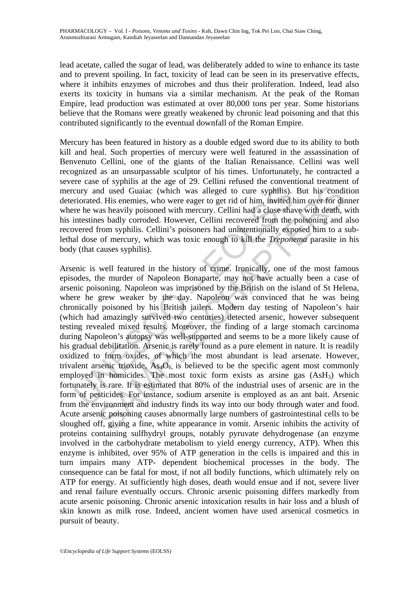lead acetate, called the sugar of lead, was deliberately added to wine to enhance its taste and to prevent spoiling. In fact, toxicity of lead can be seen in its preservative effects, where it inhibits enzymes of microbes and thus their proliferation. Indeed, lead also exerts its toxicity in humans via a similar mechanism. At the peak of the Roman Empire, lead production was estimated at over 80,000 tons per year. Some historians believe that the Romans were greatly weakened by chronic lead poisoning and that this contributed significantly to the eventual downfall of the Roman Empire.

Mercury has been featured in history as a double edged sword due to its ability to both kill and heal. Such properties of mercury were well featured in the assassination of Benvenuto Cellini, one of the giants of the Italian Renaissance. Cellini was well recognized as an unsurpassable sculptor of his times. Unfortunately, he contracted a severe case of syphilis at the age of 29. Cellini refused the conventional treatment of mercury and used Guaiac (which was alleged to cure syphilis). But his condition deteriorated. His enemies, who were eager to get rid of him, invited him over for dinner where he was heavily poisoned with mercury. Cellini had a close shave with death, with his intestines badly corroded. However, Cellini recovered from the poisoning and also recovered from syphilis. Cellini's poisoners had unintentionally exposed him to a sublethal dose of mercury, which was toxic enough to kill the *Treponema* parasite in his body (that causes syphilis).

cury and used Guaiac (which was alleged to cure syphilis).<br>
riorated. His enemies, who were eager to get rid of him, invited h<br>
re he was heavily poisoned with mercury. Cellini had a close shan<br>
intestines badly corroded. In used Guaiac (which was alleged to cure syphilis). But his cond<br>d. His enemies, who were eager to get rid of him, invited him over for divas<br>a heavily poisoned with mercury. Cellini had a close shave with death,<br>resess b Arsenic is well featured in the history of crime. Ironically, one of the most famous episodes, the murder of Napoleon Bonaparte, may not have actually been a case of arsenic poisoning. Napoleon was imprisoned by the British on the island of St Helena, where he grew weaker by the day. Napoleon was convinced that he was being chronically poisoned by his British jailers. Modern day testing of Napoleon's hair (which had amazingly survived two centuries) detected arsenic, however subsequent testing revealed mixed results. Moreover, the finding of a large stomach carcinoma during Napoleon's autopsy was well-supported and seems to be a more likely cause of his gradual debilitation. Arsenic is rarely found as a pure element in nature. It is readily oxidized to form oxides, of which the most abundant is lead arsenate. However, trivalent arsenic trioxide,  $As<sub>4</sub>O<sub>6</sub>$  is believed to be the specific agent most commonly employed in homicides. The most toxic form exists as arsine gas (AsH<sub>3</sub>) which fortunately is rare. It is estimated that 80% of the industrial uses of arsenic are in the form of pesticides. For instance, sodium arsenite is employed as an ant bait. Arsenic from the environment and industry finds its way into our body through water and food. Acute arsenic poisoning causes abnormally large numbers of gastrointestinal cells to be sloughed off, giving a fine, white appearance in vomit. Arsenic inhibits the activity of proteins containing sulfhydryl groups, notably pyruvate dehydrogenase (an enzyme involved in the carbohydrate metabolism to yield energy currency, ATP). When this enzyme is inhibited, over 95% of ATP generation in the cells is impaired and this in turn impairs many ATP- dependent biochemical processes in the body. The consequence can be fatal for most, if not all bodily functions, which ultimately rely on ATP for energy. At sufficiently high doses, death would ensue and if not, severe liver and renal failure eventually occurs. Chronic arsenic poisoning differs markedly from acute arsenic poisoning. Chronic arsenic intoxication results in hair loss and a blush of skin known as milk rose. Indeed, ancient women have used arsenical cosmetics in pursuit of beauty.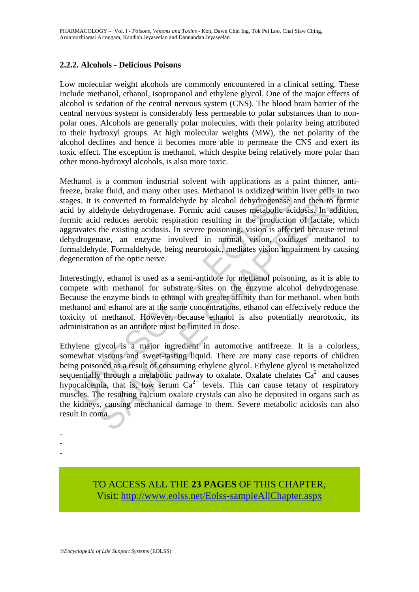### **2.2.2. Alcohols - Delicious Poisons**

Low molecular weight alcohols are commonly encountered in a clinical setting. These include methanol, ethanol, isopropanol and ethylene glycol. One of the major effects of alcohol is sedation of the central nervous system (CNS). The blood brain barrier of the central nervous system is considerably less permeable to polar substances than to nonpolar ones. Alcohols are generally polar molecules, with their polarity being attributed to their hydroxyl groups. At high molecular weights (MW), the net polarity of the alcohol declines and hence it becomes more able to permeate the CNS and exert its toxic effect. The exception is methanol, which despite being relatively more polar than other mono-hydroxyl alcohols, is also more toxic.

ze, brake fluid, and many other uses. Methanol is oxidized within<br>es. It is converted to formaldehyde by alcohol dehydrogenase is<br>by aldehyde dehydrogenase. Formic acid causes metabolic aci<br>inc acid reduces aerobic respir ke fluid, and many other uses. Methanol is oxidized within liver cells in<br>s converted to formaldehyde by alcohol dehydrogenase and then to for<br>elebyde dehydrogenase. Formic aici d causes metabolic acidosis. In additive<br>de Methanol is a common industrial solvent with applications as a paint thinner, antifreeze, brake fluid, and many other uses. Methanol is oxidized within liver cells in two stages. It is converted to formaldehyde by alcohol dehydrogenase and then to formic acid by aldehyde dehydrogenase. Formic acid causes metabolic acidosis. In addition, formic acid reduces aerobic respiration resulting in the production of lactate, which aggravates the existing acidosis. In severe poisoning, vision is affected because retinol dehydrogenase, an enzyme involved in normal vision, oxidizes methanol to formaldehyde. Formaldehyde, being neurotoxic, mediates vision impairment by causing degeneration of the optic nerve.

Interestingly, ethanol is used as a semi-antidote for methanol poisoning, as it is able to compete with methanol for substrate sites on the enzyme alcohol dehydrogenase. Because the enzyme binds to ethanol with greater affinity than for methanol, when both methanol and ethanol are at the same concentrations, ethanol can effectively reduce the toxicity of methanol. However, because ethanol is also potentially neurotoxic, its administration as an antidote must be limited in dose.

Ethylene glycol is a major ingredient in automotive antifreeze. It is a colorless, somewhat viscous and sweet-tasting liquid. There are many case reports of children being poisoned as a result of consuming ethylene glycol. Ethylene glycol is metabolized sequentially through a metabolic pathway to oxalate. Oxalate chelates  $Ca^{2+}$  and causes hypocalcemia, that is, low serum  $Ca^{2+}$  levels. This can cause tetany of respiratory muscles. The resulting calcium oxalate crystals can also be deposited in organs such as the kidneys, causing mechanical damage to them. Severe metabolic acidosis can also result in coma.

> TO ACCESS ALL THE **23 PAGES** OF THIS CHAPTER, Visit[: http://www.eolss.net/Eolss-sampleAllChapter.aspx](https://www.eolss.net/ebooklib/sc_cart.aspx?File=E6-81-13)

- - -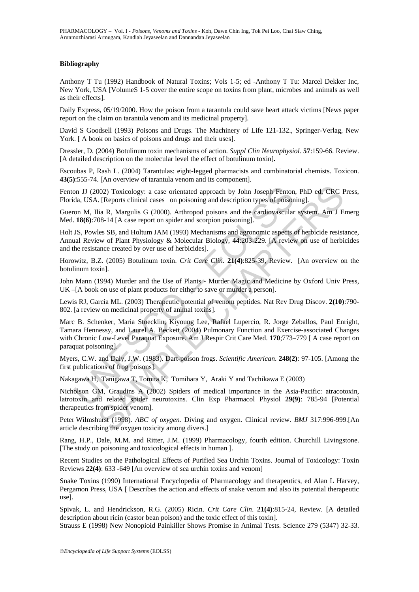#### **Bibliography**

Anthony T Tu (1992) Handbook of Natural Toxins; Vols 1-5; ed -Anthony T Tu: Marcel Dekker Inc, New York, USA [VolumeS 1-5 cover the entire scope on toxins from plant, microbes and animals as well as their effects].

Daily Express, 05/19/2000. How the poison from a tarantula could save heart attack victims [News paper report on the claim on tarantula venom and its medicinal property].

David S Goodsell (1993) Poisons and Drugs. The Machinery of Life 121-132., Springer-Verlag, New York. [A book on basics of poisons and drugs and their uses].

Dressler, D. (2004) Botulinum toxin mechanisms of action. *Suppl Clin Neurophysiol.* **57**:159-66. Review. [A detailed description on the molecular level the effect of botulinum toxin]**.** 

Escoubas P, Rash L. (2004) Tarantulas: eight-legged pharmacists and combinatorial chemists. Toxicon. **43(5)**:555-74. [An overview of tarantula venom and its component].

Fenton JJ (2002) Toxicology: a case orientated approach by John Joseph Fenton, PhD ed, CRC Press, Florida, USA. [Reports clinical cases on poisoning and description types of poisoning].

Gueron M, Ilia R, Margulis G (2000). Arthropod poisons and the cardiovascular system. Am J Emerg Med. **18(6)**:708-14 [A case report on spider and scorpion poisoning].

Holt JS, Powles SB, and Holtum JAM (1993) Mechanisms and agronomic aspects of herbicide resistance, Annual Review of Plant Physiology & Molecular Biology, **44**:203-229. [A review on use of herbicides and the resistance created by over use of herbicides].

Horowitz, B.Z. (2005) Botulinum toxin. *Crit Care Clin.* **21(4)**:825-39, Review. [An overview on the botulinum toxin].

John Mann (1994) Murder and the Use of Plants - Murder Magic and Medicine by Oxford Univ Press, UK –[A book on use of plant products for either to save or murder a person].

Lewis RJ, Garcia ML. (2003) Therapeutic potential of venom peptides. Nat Rev Drug Discov. **2(10)**:790- 802. [a review on medicinal property of animal toxins].

on JJ (2002) Toxicology: a case orientated approach by John Joseph Fenton<br>da, USA. [Reports clinical cases on poisoning and description types of poison<br>on M, Ilia R, Margulis G (2000). Arthropod poisons and the cardiovascu 002) Toxicology: a case orientated approach by John Joseph Fenton, PhD ed, CRC F<br>
1. [Reports clinical cases on poisoning and description types of poisoning].<br>
ia R, Margulis G (2000). Arthropod poisons and the cardiovascu Marc B. Schenker, Maria Stoecklin, Kiyoung Lee, Rafael Lupercio, R. Jorge Zeballos, Paul Enright, Tamara Hennessy, and Laurel A. Beckett (2004) Pulmonary Function and Exercise-associated Changes with Chronic Low-Level Paraquat Exposure. Am J Respir Crit Care Med. **170**;773–779 [ A case report on paraquat poisoning].

Myers, C.W. and Daly, J.W. (1983). Dart-poison frogs. *Scientific American*. **248(2)**: 97-105. [Among the first publications of frog poisons].

Nakagawa H, Tanigawa T, Tomita K, Tomihara Y, Araki Y and Tachikawa E (2003)

Nicholson GM, Graudins A (2002) Spiders of medical importance in the Asia-Pacific: atracotoxin, latrotoxin and related spider neurotoxins. Clin Exp Pharmacol Physiol **29(9)**: 785-94 [Potential therapeutics from spider venom].

Peter Wilmshurst (1998). *ABC of oxygen.* Diving and oxygen. Clinical review. *BMJ* 317:996-999.[An article describing the oxygen toxicity among divers.]

Rang, H.P., Dale, M.M. and Ritter, J.M. (1999) Pharmacology, fourth edition. Churchill Livingstone. [The study on poisoning and toxicological effects in human ].

Recent Studies on the Pathological Effects of Purified Sea Urchin Toxins. Journal of Toxicology: Toxin Reviews **22(4)**: 633 -649 [An overview of sea urchin toxins and venom]

Snake Toxins (1990) International Encyclopedia of Pharmacology and therapeutics, ed Alan L Harvey, Pergamon Press, USA [ Describes the action and effects of snake venom and also its potential therapeutic use].

Spivak, L. and Hendrickson, R.G. (2005) Ricin. *Crit Care Clin*. **21(4)**:815-24, Review. [A detailed description about ricin (castor bean poison) and the toxic effect of this toxin].

Strauss E (1998) New Nonopioid Painkiller Shows Promise in Animal Tests. Science 279 (5347) 32-33.